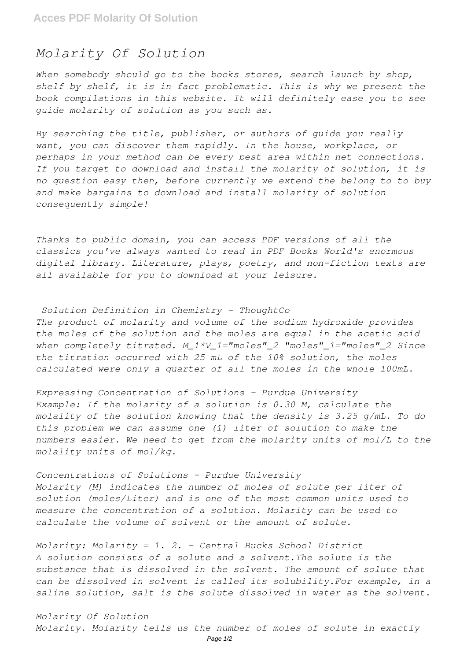## *Molarity Of Solution*

*When somebody should go to the books stores, search launch by shop, shelf by shelf, it is in fact problematic. This is why we present the book compilations in this website. It will definitely ease you to see guide molarity of solution as you such as.*

*By searching the title, publisher, or authors of guide you really want, you can discover them rapidly. In the house, workplace, or perhaps in your method can be every best area within net connections. If you target to download and install the molarity of solution, it is no question easy then, before currently we extend the belong to to buy and make bargains to download and install molarity of solution consequently simple!*

*Thanks to public domain, you can access PDF versions of all the classics you've always wanted to read in PDF Books World's enormous digital library. Literature, plays, poetry, and non-fiction texts are all available for you to download at your leisure.*

*Solution Definition in Chemistry - ThoughtCo The product of molarity and volume of the sodium hydroxide provides the moles of the solution and the moles are equal in the acetic acid when completely titrated. M\_1\*V\_1="moles"\_2 "moles"\_1="moles"\_2 Since the titration occurred with 25 mL of the 10% solution, the moles calculated were only a quarter of all the moles in the whole 100mL.*

*Expressing Concentration of Solutions - Purdue University Example: If the molarity of a solution is 0.30 M, calculate the molality of the solution knowing that the density is 3.25 g/mL. To do this problem we can assume one (1) liter of solution to make the numbers easier. We need to get from the molarity units of mol/L to the molality units of mol/kg.*

*Concentrations of Solutions - Purdue University Molarity (M) indicates the number of moles of solute per liter of solution (moles/Liter) and is one of the most common units used to measure the concentration of a solution. Molarity can be used to calculate the volume of solvent or the amount of solute.*

*Molarity: Molarity = 1. 2. - Central Bucks School District A solution consists of a solute and a solvent.The solute is the substance that is dissolved in the solvent. The amount of solute that can be dissolved in solvent is called its solubility.For example, in a saline solution, salt is the solute dissolved in water as the solvent.*

## *Molarity Of Solution*

*Molarity. Molarity tells us the number of moles of solute in exactly*